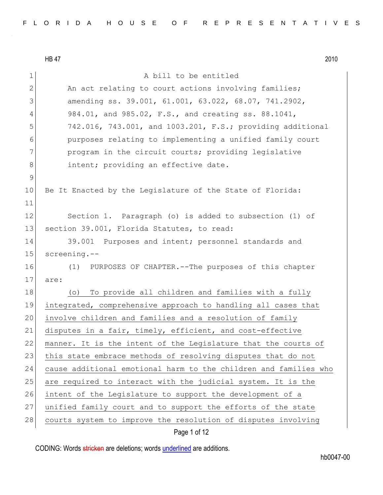$LDA7$ 

|               | <b>HB 47</b><br>2010                                             |
|---------------|------------------------------------------------------------------|
| $\mathbf 1$   | A bill to be entitled                                            |
| $\mathbf{2}$  | An act relating to court actions involving families;             |
| 3             | amending ss. 39.001, 61.001, 63.022, 68.07, 741.2902,            |
| 4             | 984.01, and 985.02, F.S., and creating ss. 88.1041,              |
| 5             | 742.016, 743.001, and 1003.201, F.S.; providing additional       |
| 6             | purposes relating to implementing a unified family court         |
| 7             | program in the circuit courts; providing legislative             |
| 8             | intent; providing an effective date.                             |
| $\mathcal{G}$ |                                                                  |
| 10            | Be It Enacted by the Legislature of the State of Florida:        |
| 11            |                                                                  |
| 12            | Section 1. Paragraph (o) is added to subsection (1) of           |
| 13            | section 39.001, Florida Statutes, to read:                       |
| 14            | 39.001 Purposes and intent; personnel standards and              |
| 15            | $screening. --$                                                  |
| 16            | (1) PURPOSES OF CHAPTER. -- The purposes of this chapter         |
| 17            | are:                                                             |
| 18            | To provide all children and families with a fully<br>$( \circ )$ |
| 19            | integrated, comprehensive approach to handling all cases that    |
| 20            | involve children and families and a resolution of family         |
| 21            | disputes in a fair, timely, efficient, and cost-effective        |
| 22            | manner. It is the intent of the Legislature that the courts of   |
| 23            | this state embrace methods of resolving disputes that do not     |
| 24            | cause additional emotional harm to the children and families who |
| 25            | are required to interact with the judicial system. It is the     |
| 26            | intent of the Legislature to support the development of a        |
| 27            | unified family court and to support the efforts of the state     |
| 28            | courts system to improve the resolution of disputes involving    |

Page 1 of 12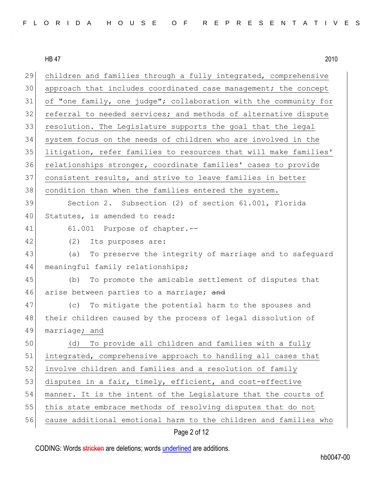| 29<br>children and families through a fully integrated, comprehensive  |
|------------------------------------------------------------------------|
| approach that includes coordinated case management; the concept        |
| of "one family, one judge"; collaboration with the community for       |
| referral to needed services; and methods of alternative dispute        |
| 33<br>resolution. The Legislature supports the goal that the legal     |
| system focus on the needs of children who are involved in the          |
| litigation, refer families to resources that will make families'       |
| 36<br>relationships stronger, coordinate families' cases to provide    |
| consistent results, and strive to leave families in better             |
| 38<br>condition than when the families entered the system.             |
| Section 2. Subsection (2) of section 61.001, Florida                   |
| Statutes, is amended to read:                                          |
| 61.001 Purpose of chapter.--                                           |
| (2)<br>Its purposes are:                                               |
| (a) To preserve the integrity of marriage and to safeguard             |
| meaningful family relationships;                                       |
| To promote the amicable settlement of disputes that<br>(b)             |
| 46<br>arise between parties to a marriage; and                         |
| To mitigate the potential harm to the spouses and<br>(C)               |
| 48<br>their children caused by the process of legal dissolution of     |
| marriage; and                                                          |
| 50<br>(d) To provide all children and families with a fully            |
| integrated, comprehensive approach to handling all cases that          |
| involve children and families and a resolution of family               |
| disputes in a fair, timely, efficient, and cost-effective              |
| manner. It is the intent of the Legislature that the courts of         |
| this state embrace methods of resolving disputes that do not           |
| 56<br>cause additional emotional harm to the children and families who |
|                                                                        |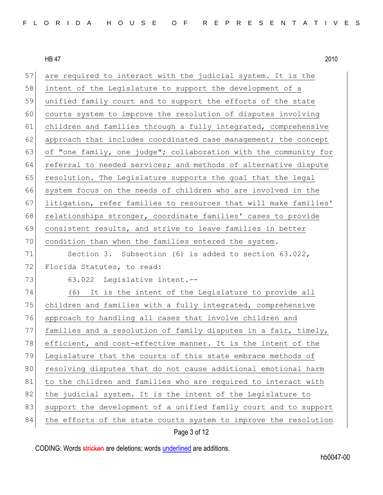| 57 | are required to interact with the judicial system. It is the     |
|----|------------------------------------------------------------------|
| 58 | intent of the Legislature to support the development of a        |
| 59 | unified family court and to support the efforts of the state     |
| 60 | courts system to improve the resolution of disputes involving    |
| 61 | children and families through a fully integrated, comprehensive  |
| 62 | approach that includes coordinated case management; the concept  |
| 63 | of "one family, one judge"; collaboration with the community for |
| 64 | referral to needed services; and methods of alternative dispute  |
| 65 | resolution. The Legislature supports the goal that the legal     |
| 66 | system focus on the needs of children who are involved in the    |
| 67 | litigation, refer families to resources that will make families' |
| 68 | relationships stronger, coordinate families' cases to provide    |
| 69 | consistent results, and strive to leave families in better       |
| 70 | condition than when the families entered the system.             |
| 71 | Section 3. Subsection (6) is added to section $63.022$ ,         |
| 72 | Florida Statutes, to read:                                       |
| 73 | 63.022 Legislative intent.--                                     |
| 74 | (6) It is the intent of the Legislature to provide all           |
| 75 | children and families with a fully integrated, comprehensive     |
| 76 | approach to handling all cases that involve children and         |
| 77 | families and a resolution of family disputes in a fair, timely,  |
| 78 | efficient, and cost-effective manner. It is the intent of the    |
| 79 | Legislature that the courts of this state embrace methods of     |
| 80 | resolving disputes that do not cause additional emotional harm   |
| 81 | to the children and families who are required to interact with   |
| 82 | the judicial system. It is the intent of the Legislature to      |
| 83 | support the development of a unified family court and to support |
| 84 | the efforts of the state courts system to improve the resolution |
|    |                                                                  |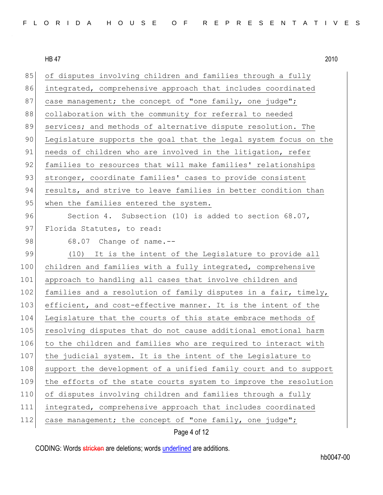|--|

85 of disputes involving children and families through a fully 86 integrated, comprehensive approach that includes coordinated 87 case management; the concept of "one family, one judge"; 88 collaboration with the community for referral to needed 89 services; and methods of alternative dispute resolution. The 90 Legislature supports the goal that the legal system focus on the 91 needs of children who are involved in the litigation, refer 92 families to resources that will make families' relationships 93 stronger, coordinate families' cases to provide consistent 94 results, and strive to leave families in better condition than 95 when the families entered the system. 96 Section 4. Subsection (10) is added to section 68.07, 97 Florida Statutes, to read: 98 68.07 Change of name. $-$ -99 (10) It is the intent of the Legislature to provide all 100 children and families with a fully integrated, comprehensive 101 approach to handling all cases that involve children and 102 families and a resolution of family disputes in a fair, timely, 103 efficient, and cost-effective manner. It is the intent of the 104 Legislature that the courts of this state embrace methods of 105 resolving disputes that do not cause additional emotional harm 106 to the children and families who are required to interact with 107 the judicial system. It is the intent of the Legislature to 108 support the development of a unified family court and to support 109 the efforts of the state courts system to improve the resolution 110 of disputes involving children and families through a fully 111 integrated, comprehensive approach that includes coordinated 112 case management; the concept of "one family, one judge";

## Page 4 of 12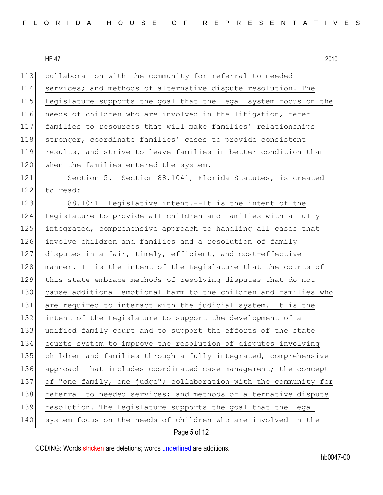| FLORIDA HOUSE OF REPRESENTATIVES |  |
|----------------------------------|--|
|----------------------------------|--|

113 collaboration with the community for referral to needed 114 services; and methods of alternative dispute resolution. The 115 Legislature supports the goal that the legal system focus on the 116 needs of children who are involved in the litigation, refer 117 families to resources that will make families' relationships 118 stronger, coordinate families' cases to provide consistent 119 results, and strive to leave families in better condition than 120 when the families entered the system. 121 Section 5. Section 88.1041, Florida Statutes, is created 122 to read: 123 88.1041 Legislative intent.--It is the intent of the 124 Legislature to provide all children and families with a fully 125 integrated, comprehensive approach to handling all cases that 126 involve children and families and a resolution of family 127 disputes in a fair, timely, efficient, and cost-effective 128 manner. It is the intent of the Legislature that the courts of 129 this state embrace methods of resolving disputes that do not 130 cause additional emotional harm to the children and families who 131 are required to interact with the judicial system. It is the 132 intent of the Legislature to support the development of a 133 unified family court and to support the efforts of the state 134 courts system to improve the resolution of disputes involving 135 children and families through a fully integrated, comprehensive 136 approach that includes coordinated case management; the concept 137 of "one family, one judge"; collaboration with the community for 138 referral to needed services; and methods of alternative dispute 139 resolution. The Legislature supports the goal that the legal 140 system focus on the needs of children who are involved in the

Page 5 of 12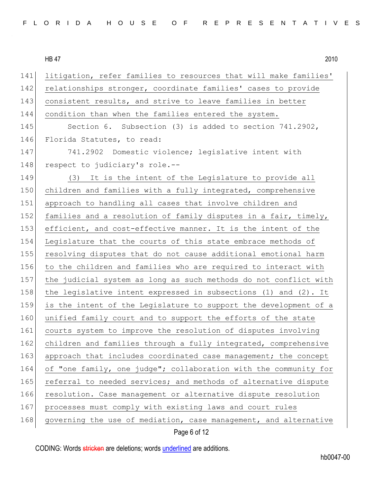141 litigation, refer families to resources that will make families' 142 relationships stronger, coordinate families' cases to provide 143 consistent results, and strive to leave families in better 144 condition than when the families entered the system. 145 Section 6. Subsection (3) is added to section 741.2902, 146 Florida Statutes, to read: 147 741.2902 Domestic violence; legislative intent with 148 respect to judiciary's role.--149 (3) It is the intent of the Legislature to provide all 150 children and families with a fully integrated, comprehensive 151 approach to handling all cases that involve children and 152 families and a resolution of family disputes in a fair, timely, 153 efficient, and cost-effective manner. It is the intent of the 154 Legislature that the courts of this state embrace methods of 155 resolving disputes that do not cause additional emotional harm 156 to the children and families who are required to interact with 157 the judicial system as long as such methods do not conflict with 158 the legislative intent expressed in subsections (1) and (2). It 159 is the intent of the Legislature to support the development of a 160 unified family court and to support the efforts of the state 161 courts system to improve the resolution of disputes involving 162 children and families through a fully integrated, comprehensive 163 approach that includes coordinated case management; the concept 164 of "one family, one judge"; collaboration with the community for 165 referral to needed services; and methods of alternative dispute 166 resolution. Case management or alternative dispute resolution 167 processes must comply with existing laws and court rules 168 governing the use of mediation, case management, and alternative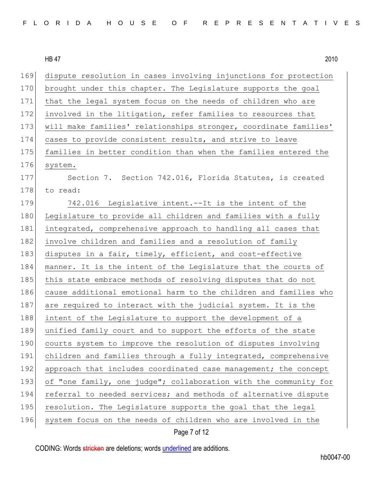| FLORIDA HOUSE OF REPRESENTATIVES |  |
|----------------------------------|--|
|----------------------------------|--|

169 dispute resolution in cases involving injunctions for protection 170 brought under this chapter. The Legislature supports the goal 171 that the legal system focus on the needs of children who are 172 involved in the litigation, refer families to resources that 173 | will make families' relationships stronger, coordinate families' 174 cases to provide consistent results, and strive to leave 175 families in better condition than when the families entered the 176 system. 177 Section 7. Section 742.016, Florida Statutes, is created 178 to read: 179 742.016 Legislative intent.--It is the intent of the 180 Legislature to provide all children and families with a fully 181 integrated, comprehensive approach to handling all cases that 182 involve children and families and a resolution of family 183 disputes in a fair, timely, efficient, and cost-effective 184 manner. It is the intent of the Legislature that the courts of 185 this state embrace methods of resolving disputes that do not 186 cause additional emotional harm to the children and families who 187 are required to interact with the judicial system. It is the 188 intent of the Legislature to support the development of a 189 unified family court and to support the efforts of the state 190 courts system to improve the resolution of disputes involving 191 children and families through a fully integrated, comprehensive 192 approach that includes coordinated case management; the concept 193 of "one family, one judge"; collaboration with the community for 194 referral to needed services; and methods of alternative dispute 195 resolution. The Legislature supports the goal that the legal 196 system focus on the needs of children who are involved in the

## Page 7 of 12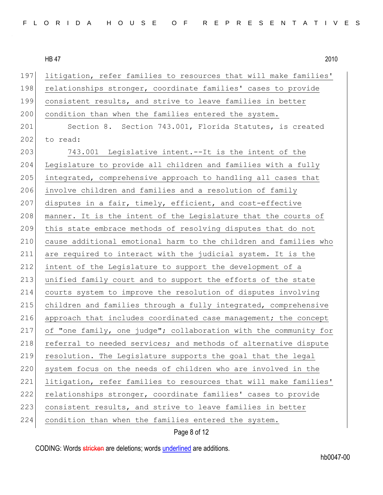197 litigation, refer families to resources that will make families' 198 relationships stronger, coordinate families' cases to provide 199 consistent results, and strive to leave families in better 200 condition than when the families entered the system. 201 Section 8. Section 743.001, Florida Statutes, is created 202 to read: 203 743.001 Legislative intent.--It is the intent of the 204 Legislature to provide all children and families with a fully 205 integrated, comprehensive approach to handling all cases that 206 involve children and families and a resolution of family 207 disputes in a fair, timely, efficient, and cost-effective 208 manner. It is the intent of the Legislature that the courts of 209 this state embrace methods of resolving disputes that do not 210 cause additional emotional harm to the children and families who 211 are required to interact with the judicial system. It is the 212 intent of the Legislature to support the development of a 213 unified family court and to support the efforts of the state 214 courts system to improve the resolution of disputes involving 215 children and families through a fully integrated, comprehensive 216 approach that includes coordinated case management; the concept 217 of "one family, one judge"; collaboration with the community for 218 referral to needed services; and methods of alternative dispute 219 resolution. The Legislature supports the goal that the legal 220 system focus on the needs of children who are involved in the 221 litigation, refer families to resources that will make families' 222 relationships stronger, coordinate families' cases to provide 223 consistent results, and strive to leave families in better 224 condition than when the families entered the system.

Page 8 of 12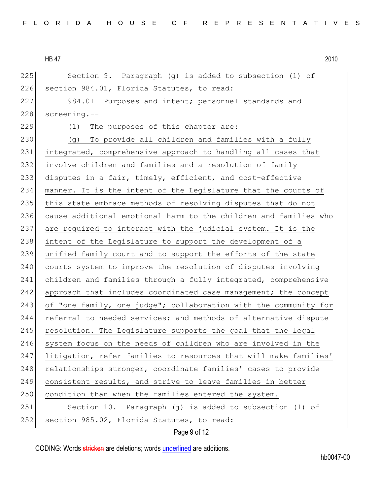225 Section 9. Paragraph (g) is added to subsection (1) of 226 section 984.01, Florida Statutes, to read: 227 984.01 Purposes and intent; personnel standards and 228 screening.-- 229 (1) The purposes of this chapter are: 230 (g) To provide all children and families with a fully 231 integrated, comprehensive approach to handling all cases that 232 involve children and families and a resolution of family 233 disputes in a fair, timely, efficient, and cost-effective 234 manner. It is the intent of the Legislature that the courts of 235 this state embrace methods of resolving disputes that do not 236 cause additional emotional harm to the children and families who 237 are required to interact with the judicial system. It is the 238 intent of the Legislature to support the development of a 239 unified family court and to support the efforts of the state 240 courts system to improve the resolution of disputes involving 241 children and families through a fully integrated, comprehensive 242 approach that includes coordinated case management; the concept 243 of "one family, one judge"; collaboration with the community for 244 referral to needed services; and methods of alternative dispute  $245$  resolution. The Legislature supports the goal that the legal 246 system focus on the needs of children who are involved in the 247 litigation, refer families to resources that will make families' 248 relationships stronger, coordinate families' cases to provide 249 consistent results, and strive to leave families in better 250 condition than when the families entered the system. 251 Section 10. Paragraph (j) is added to subsection (1) of 252 section 985.02, Florida Statutes, to read:

Page 9 of 12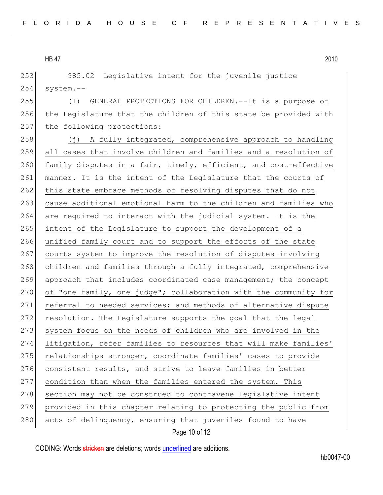253 985.02 Legislative intent for the juvenile justice  $254$  system.--

255 (1) GENERAL PROTECTIONS FOR CHILDREN.--It is a purpose of 256 the Legislature that the children of this state be provided with 257 the following protections:

258 (j) A fully integrated, comprehensive approach to handling 259 all cases that involve children and families and a resolution of 260 family disputes in a fair, timely, efficient, and cost-effective 261 manner. It is the intent of the Legislature that the courts of 262 this state embrace methods of resolving disputes that do not 263 cause additional emotional harm to the children and families who 264 are required to interact with the judicial system. It is the 265 intent of the Legislature to support the development of a 266 unified family court and to support the efforts of the state 267 courts system to improve the resolution of disputes involving 268 children and families through a fully integrated, comprehensive 269 approach that includes coordinated case management; the concept 270 of "one family, one judge"; collaboration with the community for 271 referral to needed services; and methods of alternative dispute 272 resolution. The Legislature supports the goal that the legal 273 system focus on the needs of children who are involved in the 274 litigation, refer families to resources that will make families' 275 relationships stronger, coordinate families' cases to provide 276 consistent results, and strive to leave families in better 277 condition than when the families entered the system. This 278 section may not be construed to contravene legislative intent 279 provided in this chapter relating to protecting the public from 280 acts of delinquency, ensuring that juveniles found to have

Page 10 of 12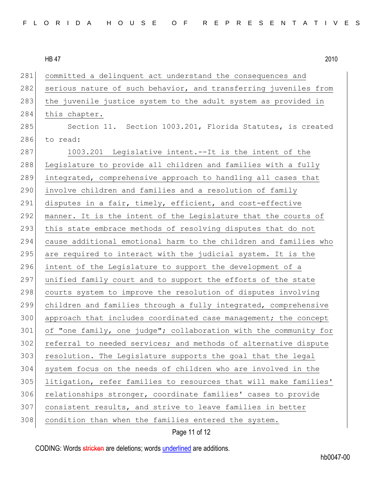| 281 | committed a delinquent act understand the consequences and       |
|-----|------------------------------------------------------------------|
| 282 | serious nature of such behavior, and transferring juveniles from |
| 283 | the juvenile justice system to the adult system as provided in   |
| 284 | this chapter.                                                    |
| 285 | Section 11. Section 1003.201, Florida Statutes, is created       |
| 286 | to read:                                                         |
| 287 | 1003.201 Legislative intent.--It is the intent of the            |
| 288 | Legislature to provide all children and families with a fully    |
| 289 | integrated, comprehensive approach to handling all cases that    |
| 290 | involve children and families and a resolution of family         |
| 291 | disputes in a fair, timely, efficient, and cost-effective        |
| 292 | manner. It is the intent of the Legislature that the courts of   |
| 293 | this state embrace methods of resolving disputes that do not     |
| 294 | cause additional emotional harm to the children and families who |
| 295 | are required to interact with the judicial system. It is the     |
| 296 | intent of the Legislature to support the development of a        |
| 297 | unified family court and to support the efforts of the state     |
| 298 | courts system to improve the resolution of disputes involving    |
| 299 | children and families through a fully integrated, comprehensive  |
| 300 | approach that includes coordinated case management; the concept  |
| 301 | of "one family, one judge"; collaboration with the community for |
| 302 | referral to needed services; and methods of alternative dispute  |
| 303 | resolution. The Legislature supports the goal that the legal     |
| 304 | system focus on the needs of children who are involved in the    |
| 305 | litigation, refer families to resources that will make families' |
| 306 | relationships stronger, coordinate families' cases to provide    |
| 307 | consistent results, and strive to leave families in better       |
| 308 | condition than when the families entered the system.             |
|     |                                                                  |

Page 11 of 12